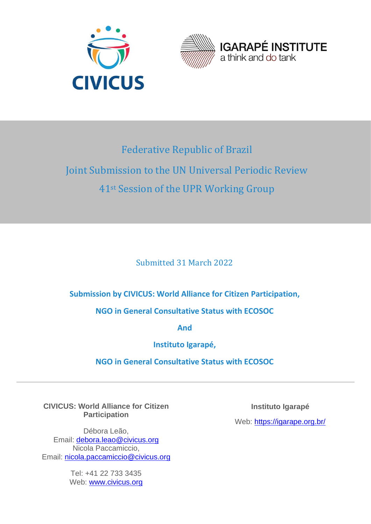



# Federative Republic of Brazil Joint Submission to the UN Universal Periodic Review 41st Session of the UPR Working Group

Submitted 31 March 2022

# **Submission by CIVICUS: World Alliance for Citizen Participation,**

**NGO in General Consultative Status with ECOSOC** 

**And**

**Instituto Igarapé,** 

**NGO in General Consultative Status with ECOSOC** 

**CIVICUS: World Alliance for Citizen Participation**

Débora Leão, Email: debora.leao@civicus.org Nicola Paccamiccio, Email: nicola.paccamiccio@civicus.org

> Tel: +41 22 733 3435 Web: www.civicus.org

**Instituto Igarapé**

Web: https://igarape.org.br/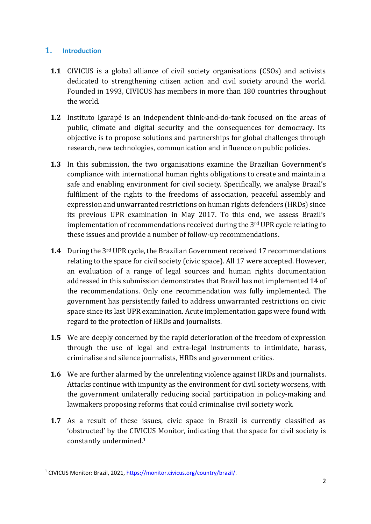## **1. Introduction**

- **1.1** CIVICUS is a global alliance of civil society organisations (CSOs) and activists dedicated to strengthening citizen action and civil society around the world. Founded in 1993, CIVICUS has members in more than 180 countries throughout the world.
- **1.2** Instituto Igarapé is an independent think-and-do-tank focused on the areas of public, climate and digital security and the consequences for democracy. Its objective is to propose solutions and partnerships for global challenges through research, new technologies, communication and influence on public policies.
- **1.3** In this submission, the two organisations examine the Brazilian Government's compliance with international human rights obligations to create and maintain a safe and enabling environment for civil society. Specifically, we analyse Brazil's fulfilment of the rights to the freedoms of association, peaceful assembly and expression and unwarranted restrictions on human rights defenders (HRDs) since its previous UPR examination in May 2017. To this end, we assess Brazil's implementation of recommendations received during the 3rd UPR cycle relating to these issues and provide a number of follow-up recommendations.
- **1.4** During the 3rd UPR cycle, the Brazilian Government received 17 recommendations relating to the space for civil society (civic space). All 17 were accepted. However, an evaluation of a range of legal sources and human rights documentation addressed in this submission demonstrates that Brazil has not implemented 14 of the recommendations. Only one recommendation was fully implemented. The government has persistently failed to address unwarranted restrictions on civic space since its last UPR examination. Acute implementation gaps were found with regard to the protection of HRDs and journalists.
- **1.5** We are deeply concerned by the rapid deterioration of the freedom of expression through the use of legal and extra-legal instruments to intimidate, harass, criminalise and silence journalists, HRDs and government critics.
- **1.6** We are further alarmed by the unrelenting violence against HRDs and journalists. Attacks continue with impunity as the environment for civil society worsens, with the government unilaterally reducing social participation in policy-making and lawmakers proposing reforms that could criminalise civil society work.
- **1.7** As a result of these issues, civic space in Brazil is currently classified as 'obstructed' by the CIVICUS Monitor, indicating that the space for civil society is constantly undermined. 1

<sup>1</sup> CIVICUS Monitor: Brazil, 2021, [https://monitor.civicus.org/country/brazil/.](https://monitor.civicus.org/country/brazil/)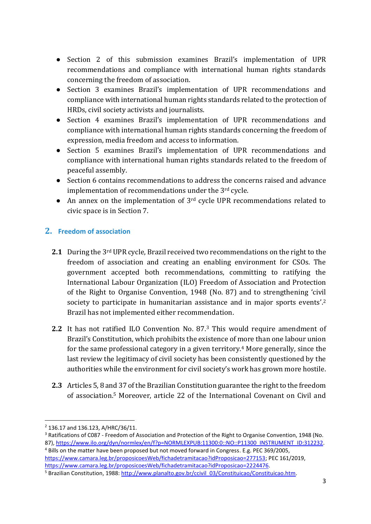- Section 2 of this submission examines Brazil's implementation of UPR recommendations and compliance with international human rights standards concerning the freedom of association.
- Section 3 examines Brazil's implementation of UPR recommendations and compliance with international human rights standards related to the protection of HRDs, civil society activists and journalists.
- Section 4 examines Brazil's implementation of UPR recommendations and compliance with international human rights standards concerning the freedom of expression, media freedom and access to information.
- Section 5 examines Brazil's implementation of UPR recommendations and compliance with international human rights standards related to the freedom of peaceful assembly.
- Section 6 contains recommendations to address the concerns raised and advance implementation of recommendations under the 3rd cycle.
- An annex on the implementation of 3<sup>rd</sup> cycle UPR recommendations related to civic space is in Section 7.

## **2. Freedom of association**

- **2.1** During the 3rd UPR cycle, Brazil received two recommendations on the right to the freedom of association and creating an enabling environment for CSOs. The government accepted both recommendations, committing to ratifying the International Labour Organization (ILO) Freedom of Association and Protection of the Right to Organise Convention, 1948 (No. 87) and to strengthening 'civil society to participate in humanitarian assistance and in major sports events'.<sup>2</sup> Brazil has not implemented either recommendation.
- **2.2** It has not ratified ILO Convention No. 87.<sup>3</sup> This would require amendment of Brazil's Constitution, which prohibits the existence of more than one labour union for the same professional category in a given territory.<sup>4</sup> More generally, since the last review the legitimacy of civil society has been consistently questioned by the authorities while the environment for civil society's work has grown more hostile.
- **2.3** Articles 5, 8 and 37 of the Brazilian Constitution guarantee the right to the freedom of association.<sup>5</sup> Moreover, article 22 of the International Covenant on Civil and

<sup>2</sup> 136.17 and 136.123, A/HRC/36/11.

<sup>3</sup> Ratifications of C087 - Freedom of Association and Protection of the Right to Organise Convention, 1948 (No. 87), [https://www.ilo.org/dyn/normlex/en/f?p=NORMLEXPUB:11300:0::NO::P11300\\_INSTRUMENT\\_ID:312232.](https://www.ilo.org/dyn/normlex/en/f?p=NORMLEXPUB:11300:0::NO::P11300_INSTRUMENT_ID:312232)

<sup>4</sup> Bills on the matter have been proposed but not moved forward in Congress. E.g. PEC 369/2005, [https://www.camara.leg.br/proposicoesWeb/fichadetramitacao?idProposicao=277153;](https://www.camara.leg.br/proposicoesWeb/fichadetramitacao?idProposicao=277153) PEC 161/2019, [https://www.camara.leg.br/proposicoesWeb/fichadetramitacao?idProposicao=2224476.](https://www.camara.leg.br/proposicoesWeb/fichadetramitacao?idProposicao=2224476)

<sup>&</sup>lt;sup>5</sup> Brazilian Constitution, 1988[: http://www.planalto.gov.br/ccivil\\_03/Constituicao/Constituicao.htm.](http://www.planalto.gov.br/ccivil_03/Constituicao/Constituicao.htm)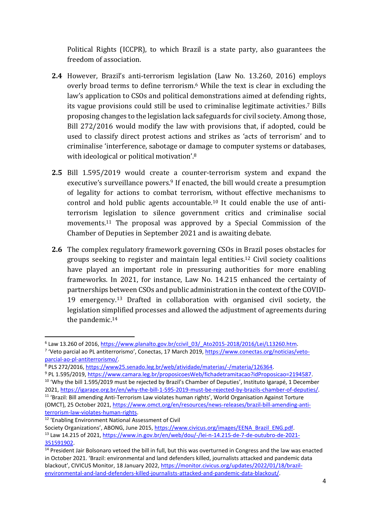Political Rights (ICCPR), to which Brazil is a state party, also guarantees the freedom of association.

- **2.4** However, Brazil's anti-terrorism legislation (Law No. 13.260, 2016) employs overly broad terms to define terrorism.<sup>6</sup> While the text is clear in excluding the law's application to CSOs and political demonstrations aimed at defending rights, its vague provisions could still be used to criminalise legitimate activities. <sup>7</sup> Bills proposing changes to the legislation lack safeguards for civil society. Among those, Bill 272/2016 would modify the law with provisions that, if adopted, could be used to classify direct protest actions and strikes as 'acts of terrorism' and to criminalise 'interference, sabotage or damage to computer systems or databases, with ideological or political motivation'.<sup>8</sup>
- **2.5** Bill 1.595/2019 would create a counter-terrorism system and expand the executive's surveillance powers.<sup>9</sup> If enacted, the bill would create a presumption of legality for actions to combat terrorism, without effective mechanisms to control and hold public agents accountable.<sup>10</sup> It could enable the use of antiterrorism legislation to silence government critics and criminalise social movements.<sup>11</sup> The proposal was approved by a Special Commission of the Chamber of Deputies in September 2021 and is awaiting debate.
- **2.6** The complex regulatory framework governing CSOs in Brazil poses obstacles for groups seeking to register and maintain legal entities.<sup>12</sup> Civil society coalitions have played an important role in pressuring authorities for more enabling frameworks. In 2021, for instance, Law No. 14.215 enhanced the certainty of partnerships between CSOs and public administration in the context of the COVID-19 emergency.<sup>13</sup> Drafted in collaboration with organised civil society, the legislation simplified processes and allowed the adjustment of agreements during the pandemic.<sup>14</sup>

<sup>&</sup>lt;sup>6</sup> Law 13.260 of 2016, [https://www.planalto.gov.br/ccivil\\_03/\\_Ato2015-2018/2016/Lei/L13260.htm.](https://www.planalto.gov.br/ccivil_03/_Ato2015-2018/2016/Lei/L13260.htm) <sup>7</sup> 'Veto parcial ao PL antiterrorismo', Conectas, 17 March 2019, [https://www.conectas.org/noticias/veto](https://www.conectas.org/noticias/veto-parcial-ao-pl-antiterrorismo/)[parcial-ao-pl-antiterrorismo/.](https://www.conectas.org/noticias/veto-parcial-ao-pl-antiterrorismo/)

<sup>8</sup> PLS 272/2016, [https://www25.senado.leg.br/web/atividade/materias/-/materia/126364.](https://www25.senado.leg.br/web/atividade/materias/-/materia/126364)

<sup>9</sup> PL 1.595/2019, [https://www.camara.leg.br/proposicoesWeb/fichadetramitacao?idProposicao=2194587.](https://www.camara.leg.br/proposicoesWeb/fichadetramitacao?idProposicao=2194587)

<sup>&</sup>lt;sup>10</sup> 'Why the bill 1.595/2019 must be rejected by Brazil's Chamber of Deputies', Instituto Igarapé, 1 December 2021, [https://igarape.org.br/en/why-the-bill-1-595-2019-must-be-rejected-by-brazils-chamber-of-deputies/.](https://igarape.org.br/en/why-the-bill-1-595-2019-must-be-rejected-by-brazils-chamber-of-deputies/) <sup>11</sup> 'Brazil: Bill amending Anti-Terrorism Law violates human rights', World Organisation Against Torture

<sup>(</sup>OMCT), 25 October 2021, [https://www.omct.org/en/resources/news-releases/brazil-bill-amending-anti](https://www.omct.org/en/resources/news-releases/brazil-bill-amending-anti-terrorism-law-violates-human-rights)[terrorism-law-violates-human-rights.](https://www.omct.org/en/resources/news-releases/brazil-bill-amending-anti-terrorism-law-violates-human-rights)

<sup>12</sup> 'Enabling Environment National Assessment of Civil

Society Organizations', ABONG, June 2015, [https://www.civicus.org/images/EENA\\_Brazil\\_ENG.pdf.](https://www.civicus.org/images/EENA_Brazil_ENG.pdf) <sup>13</sup> Law 14.215 of 2021, [https://www.in.gov.br/en/web/dou/-/lei-n-14.215-de-7-de-outubro-de-2021-](https://www.in.gov.br/en/web/dou/-/lei-n-14.215-de-7-de-outubro-de-2021-351591902) [351591902.](https://www.in.gov.br/en/web/dou/-/lei-n-14.215-de-7-de-outubro-de-2021-351591902)

 $14$  President Jair Bolsonaro vetoed the bill in full, but this was overturned in Congress and the law was enacted in October 2021. 'Brazil: environmental and land defenders killed, journalists attacked and pandemic data blackout', CIVICUS Monitor, 18 January 2022, [https://monitor.civicus.org/updates/2022/01/18/brazil](https://monitor.civicus.org/updates/2022/01/18/brazil-environmental-and-land-defenders-killed-journalists-attacked-and-pandemic-data-blackout/)[environmental-and-land-defenders-killed-journalists-attacked-and-pandemic-data-blackout/.](https://monitor.civicus.org/updates/2022/01/18/brazil-environmental-and-land-defenders-killed-journalists-attacked-and-pandemic-data-blackout/)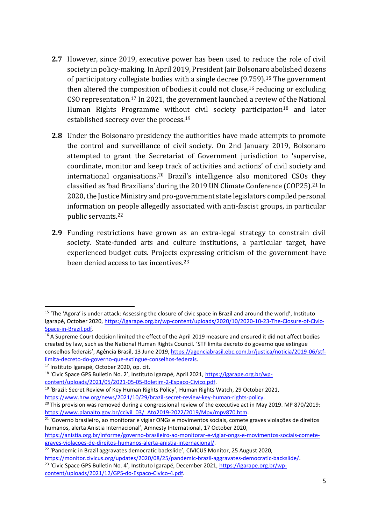- **2.7** However, since 2019, executive power has been used to reduce the role of civil society in policy-making. In April 2019, President Jair Bolsonaro abolished dozens of participatory collegiate bodies with a single decree (9.759). <sup>15</sup> The government then altered the composition of bodies it could not close, <sup>16</sup> reducing or excluding CSO representation.<sup>17</sup> In 2021, the government launched a review of the National Human Rights Programme without civil society participation<sup>18</sup> and later established secrecy over the process.<sup>19</sup>
- **2.8** Under the Bolsonaro presidency the authorities have made attempts to promote the control and surveillance of civil society. On 2nd January 2019, Bolsonaro attempted to grant the Secretariat of Government jurisdiction to 'supervise, coordinate, monitor and keep track of activities and actions' of civil society and international organisations.<sup>20</sup> Brazil's intelligence also monitored CSOs they classified as 'bad Brazilians' during the 2019 UN Climate Conference (COP25).<sup>21</sup> In 2020, the Justice Ministry and pro-government state legislators compiled personal information on people allegedly associated with anti-fascist groups, in particular public servants.<sup>22</sup>
- **2.9** Funding restrictions have grown as an extra-legal strategy to constrain civil society. State-funded arts and culture institutions, a particular target, have experienced budget cuts. Projects expressing criticism of the government have been denied access to tax incentives.<sup>23</sup>

<sup>&</sup>lt;sup>15</sup> 'The 'Agora' is under attack: Assessing the closure of civic space in Brazil and around the world', Instituto Igarapé, October 2020, [https://igarape.org.br/wp-content/uploads/2020/10/2020-10-23-The-Closure-of-Civic-](https://igarape.org.br/wp-content/uploads/2020/10/2020-10-23-The-Closure-of-Civic-Space-in-Brazil.pdf)[Space-in-Brazil.pdf.](https://igarape.org.br/wp-content/uploads/2020/10/2020-10-23-The-Closure-of-Civic-Space-in-Brazil.pdf)

<sup>&</sup>lt;sup>16</sup> A Supreme Court decision limited the effect of the April 2019 measure and ensured it did not affect bodies created by law, such as the National Human Rights Council. 'STF limita decreto do governo que extingue conselhos federais', Agência Brasil, 13 June 2019, [https://agenciabrasil.ebc.com.br/justica/noticia/2019-06/stf](https://agenciabrasil.ebc.com.br/justica/noticia/2019-06/stf-limita-decreto-do-governo-que-extingue-conselhos-federais)[limita-decreto-do-governo-que-extingue-conselhos-federais.](https://agenciabrasil.ebc.com.br/justica/noticia/2019-06/stf-limita-decreto-do-governo-que-extingue-conselhos-federais)

<sup>17</sup> Instituto Igarapé, October 2020, op. cit.

<sup>&</sup>lt;sup>18</sup> 'Civic Space GPS Bulletin No. 2', Instituto Igarapé, April 2021, [https://igarape.org.br/wp](https://igarape.org.br/wp-content/uploads/2021/05/2021-05-05-Boletim-2-Espaco-Civico.pdf)[content/uploads/2021/05/2021-05-05-Boletim-2-Espaco-Civico.pdf.](https://igarape.org.br/wp-content/uploads/2021/05/2021-05-05-Boletim-2-Espaco-Civico.pdf)

<sup>&</sup>lt;sup>19</sup> 'Brazil: Secret Review of Key Human Rights Policy', Human Rights Watch, 29 October 2021,

[https://www.hrw.org/news/2021/10/29/brazil-secret-review-key-human-rights-policy.](https://www.hrw.org/news/2021/10/29/brazil-secret-review-key-human-rights-policy)

 $20$  This provision was removed during a congressional review of the executive act in May 2019. MP 870/2019: [https://www.planalto.gov.br/ccivil\\_03/\\_Ato2019-2022/2019/Mpv/mpv870.htm.](https://www.planalto.gov.br/ccivil_03/_Ato2019-2022/2019/Mpv/mpv870.htm)

<sup>21</sup> 'Governo brasileiro, ao monitorar e vigiar ONGs e movimentos sociais, comete graves violações de direitos humanos, alerta Anistia Internacional', Amnesty International, 17 October 2020,

[https://anistia.org.br/informe/governo-brasileiro-ao-monitorar-e-vigiar-ongs-e-movimentos-sociais-comete](https://anistia.org.br/informe/governo-brasileiro-ao-monitorar-e-vigiar-ongs-e-movimentos-sociais-comete-graves-violacoes-de-direitos-humanos-alerta-anistia-internacional/)[graves-violacoes-de-direitos-humanos-alerta-anistia-internacional/.](https://anistia.org.br/informe/governo-brasileiro-ao-monitorar-e-vigiar-ongs-e-movimentos-sociais-comete-graves-violacoes-de-direitos-humanos-alerta-anistia-internacional/)

 $22$  'Pandemic in Brazil aggravates democratic backslide', CIVICUS Monitor, 25 August 2020,

[https://monitor.civicus.org/updates/2020/08/25/pandemic-brazil-aggravates-democratic-backslide/.](https://monitor.civicus.org/updates/2020/08/25/pandemic-brazil-aggravates-democratic-backslide/) <sup>23</sup> 'Civic Space GPS Bulletin No. 4', Instituto Igarapé, December 2021, [https://igarape.org.br/wp-](https://igarape.org.br/wp-content/uploads/2021/12/GPS-do-Espaco-Civico-4.pdf)

[content/uploads/2021/12/GPS-do-Espaco-Civico-4.pdf.](https://igarape.org.br/wp-content/uploads/2021/12/GPS-do-Espaco-Civico-4.pdf)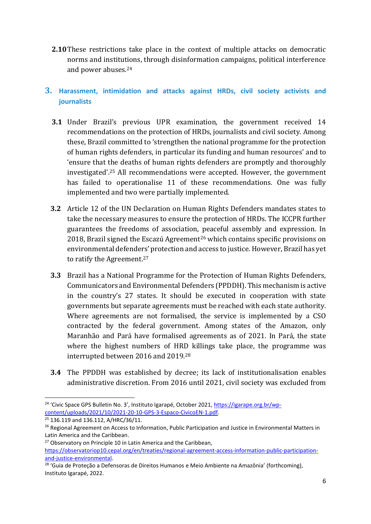- **2.10**These restrictions take place in the context of multiple attacks on democratic norms and institutions, through disinformation campaigns, political interference and power abuses.<sup>24</sup>
- **3. Harassment, intimidation and attacks against HRDs, civil society activists and journalists**
	- **3.1** Under Brazil's previous UPR examination, the government received 14 recommendations on the protection of HRDs, journalists and civil society. Among these, Brazil committed to 'strengthen the national programme for the protection of human rights defenders, in particular its funding and human resources' and to 'ensure that the deaths of human rights defenders are promptly and thoroughly investigated'. <sup>25</sup> All recommendations were accepted. However, the government has failed to operationalise 11 of these recommendations. One was fully implemented and two were partially implemented.
	- **3.2** Article 12 of the UN Declaration on Human Rights Defenders mandates states to take the necessary measures to ensure the protection of HRDs. The ICCPR further guarantees the freedoms of association, peaceful assembly and expression. In 2018, Brazil signed the Escazú Agreement<sup>26</sup> which contains specific provisions on environmental defenders' protection and access to justice. However, Brazil has yet to ratify the Agreement.<sup>27</sup>
	- **3.3** Brazil has a National Programme for the Protection of Human Rights Defenders, Communicators and Environmental Defenders (PPDDH). This mechanism is active in the country's 27 states. It should be executed in cooperation with state governments but separate agreements must be reached with each state authority. Where agreements are not formalised, the service is implemented by a CSO contracted by the federal government. Among states of the Amazon, only Maranhão and Pará have formalised agreements as of 2021. In Pará, the state where the highest numbers of HRD killings take place, the programme was interrupted between 2016 and 2019.<sup>28</sup>
	- **3.4** The PPDDH was established by decree; its lack of institutionalisation enables administrative discretion. From 2016 until 2021, civil society was excluded from

<sup>&</sup>lt;sup>24</sup> 'Civic Space GPS Bulletin No. 3', Instituto Igarapé, October 2021, [https://igarape.org.br/wp](https://igarape.org.br/wp-content/uploads/2021/10/2021-20-10-GPS-3-Espaco-CivicoEN-1.pdf)[content/uploads/2021/10/2021-20-10-GPS-3-Espaco-CivicoEN-1.pdf.](https://igarape.org.br/wp-content/uploads/2021/10/2021-20-10-GPS-3-Espaco-CivicoEN-1.pdf)

<sup>&</sup>lt;sup>25</sup> 136.119 and 136.112, A/HRC/36/11.

<sup>&</sup>lt;sup>26</sup> Regional Agreement on Access to Information, Public Participation and Justice in Environmental Matters in Latin America and the Caribbean.

<sup>&</sup>lt;sup>27</sup> Observatory on Principle 10 in Latin America and the Caribbean,

[https://observatoriop10.cepal.org/en/treaties/regional-agreement-access-information-public-participation](https://observatoriop10.cepal.org/en/treaties/regional-agreement-access-information-public-participation-and-justice-environmental)[and-justice-environmental.](https://observatoriop10.cepal.org/en/treaties/regional-agreement-access-information-public-participation-and-justice-environmental)

<sup>&</sup>lt;sup>28</sup> 'Guia de Proteção a Defensoras de Direitos Humanos e Meio Ambiente na Amazônia' (forthcoming), Instituto Igarapé, 2022.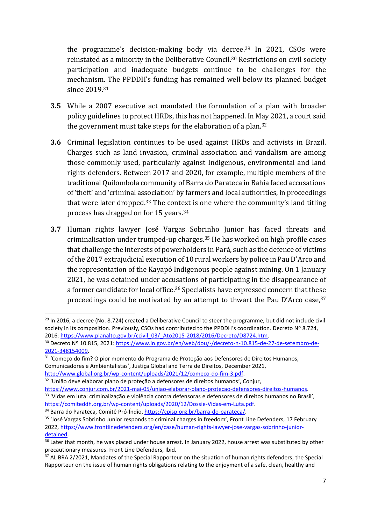the programme's decision-making body via decree. <sup>29</sup> In 2021, CSOs were reinstated as a minority in the Deliberative Council.<sup>30</sup> Restrictions on civil society participation and inadequate budgets continue to be challenges for the mechanism. The PPDDH's funding has remained well below its planned budget since 2019.<sup>31</sup>

- **3.5** While a 2007 executive act mandated the formulation of a plan with broader policy guidelines to protect HRDs, this has not happened. In May 2021, a court said the government must take steps for the elaboration of a plan. 32
- **3.6** Criminal legislation continues to be used against HRDs and activists in Brazil. Charges such as land invasion, criminal association and vandalism are among those commonly used, particularly against Indigenous, environmental and land rights defenders. Between 2017 and 2020, for example, multiple members of the traditional Quilombola community of Barra do Parateca in Bahia faced accusations of 'theft' and 'criminal association' by farmers and local authorities, in proceedings that were later dropped.<sup>33</sup> The context is one where the community's land titling process has dragged on for 15 years.<sup>34</sup>
- **3.7** Human rights lawyer José Vargas Sobrinho Junior has faced threats and criminalisation under trumped-up charges.<sup>35</sup> He has worked on high profile cases that challenge the interests of powerholders in Pará, such as the defence of victims of the 2017 extrajudicial execution of 10 rural workers by police in Pau D'Arco and the representation of the Kayapó Indigenous people against mining. On 1 January 2021, he was detained under accusations of participating in the disappearance of a former candidate for local office.<sup>36</sup> Specialists have expressed concern that these proceedings could be motivated by an attempt to thwart the Pau D'Arco case,<sup>37</sup>

 $^{29}$  In 2016, a decree (No. 8.724) created a Deliberative Council to steer the programme, but did not include civil society in its composition. Previously, CSOs had contributed to the PPDDH's coordination. Decreto № 8.724, 2016: [https://www.planalto.gov.br/ccivil\\_03/\\_Ato2015-2018/2016/Decreto/D8724.htm.](https://www.planalto.gov.br/ccivil_03/_Ato2015-2018/2016/Decreto/D8724.htm)

<sup>&</sup>lt;sup>30</sup> Decreto Nº 10.815, 2021: [https://www.in.gov.br/en/web/dou/-/decreto-n-10.815-de-27-de-setembro-de-](https://www.in.gov.br/en/web/dou/-/decreto-n-10.815-de-27-de-setembro-de-2021-348154009)[2021-348154009.](https://www.in.gov.br/en/web/dou/-/decreto-n-10.815-de-27-de-setembro-de-2021-348154009)

<sup>31</sup> 'Começo do fim? O pior momento do Programa de Proteção aos Defensores de Direitos Humanos, Comunicadores e Ambientalistas', Justiça Global and Terra de Direitos, December 2021, [http://www.global.org.br/wp-content/uploads/2021/12/comeco-do-fim-3.pdf.](http://www.global.org.br/wp-content/uploads/2021/12/comeco-do-fim-3.pdf)

<sup>32</sup> 'União deve elaborar plano de proteção a defensores de direitos humanos', Conjur,

[https://www.conjur.com.br/2021-mai-05/uniao-elaborar-plano-protecao-defensores-direitos-humanos.](https://www.conjur.com.br/2021-mai-05/uniao-elaborar-plano-protecao-defensores-direitos-humanos) <sup>33</sup> 'Vidas em luta: criminalização e violência contra defensoras e defensores de direitos humanos no Brasil', [https://comiteddh.org.br/wp-content/uploads/2020/12/Dossie-Vidas-em-Luta.pdf.](https://comiteddh.org.br/wp-content/uploads/2020/12/Dossie-Vidas-em-Luta.pdf)

<sup>34</sup> Barra do Parateca, Comitê Pró-Índio, [https://cpisp.org.br/barra-do-parateca/.](https://cpisp.org.br/barra-do-parateca/) <sup>35</sup> 'José Vargas Sobrinho Junior responds to criminal charges in freedom', Front Line Defenders, 17 February

<sup>2022,</sup> [https://www.frontlinedefenders.org/en/case/human-rights-lawyer-jose-vargas-sobrinho-junior](https://www.frontlinedefenders.org/en/case/human-rights-lawyer-jose-vargas-sobrinho-junior-detained)[detained.](https://www.frontlinedefenders.org/en/case/human-rights-lawyer-jose-vargas-sobrinho-junior-detained)

<sup>&</sup>lt;sup>36</sup> Later that month, he was placed under house arrest. In January 2022, house arrest was substituted by other precautionary measures. Front Line Defenders, Ibid.

<sup>&</sup>lt;sup>37</sup> AL BRA 2/2021, Mandates of the Special Rapporteur on the situation of human rights defenders; the Special Rapporteur on the issue of human rights obligations relating to the enjoyment of a safe, clean, healthy and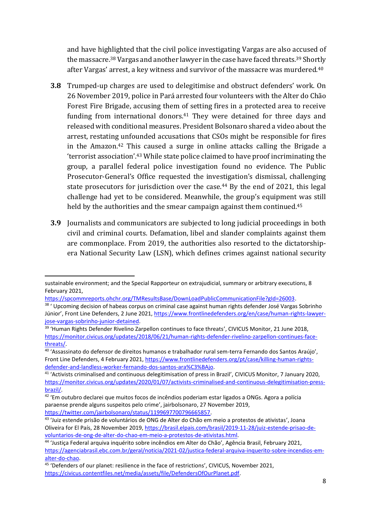and have highlighted that the civil police investigating Vargas are also accused of the massacre.<sup>38</sup> Vargas and another lawyer in the case have faced threats.<sup>39</sup> Shortly after Vargas' arrest, a key witness and survivor of the massacre was murdered.<sup>40</sup>

- **3.8** Trumped-up charges are used to delegitimise and obstruct defenders' work. On 26 November 2019, police in Pará arrested four volunteers with the Alter do Chão Forest Fire Brigade, accusing them of setting fires in a protected area to receive funding from international donors.<sup>41</sup> They were detained for three days and released with conditional measures. President Bolsonaro shared a video about the arrest, restating unfounded accusations that CSOs might be responsible for fires in the Amazon.<sup>42</sup> This caused a surge in online attacks calling the Brigade a 'terrorist association'. <sup>43</sup> While state police claimed to have proof incriminating the group, a parallel federal police investigation found no evidence. The Public Prosecutor-General's Office requested the investigation's dismissal, challenging state prosecutors for jurisdiction over the case.<sup>44</sup> By the end of 2021, this legal challenge had yet to be considered. Meanwhile, the group's equipment was still held by the authorities and the smear campaign against them continued.<sup>45</sup>
- **3.9** Journalists and communicators are subjected to long judicial proceedings in both civil and criminal courts. Defamation, libel and slander complaints against them are commonplace. From 2019, the authorities also resorted to the dictatorshipera National Security Law (LSN), which defines crimes against national security

[https://spcommreports.ohchr.org/TMResultsBase/DownLoadPublicCommunicationFile?gId=26003.](https://spcommreports.ohchr.org/TMResultsBase/DownLoadPublicCommunicationFile?gId=26003)

sustainable environment; and the Special Rapporteur on extrajudicial, summary or arbitrary executions, 8 February 2021,

<sup>&</sup>lt;sup>38</sup> ' Upcoming decision of habeas corpus on criminal case against human rights defender José Vargas Sobrinho Júnior', Front Line Defenders, 2 June 2021[, https://www.frontlinedefenders.org/en/case/human-rights-lawyer](https://www.frontlinedefenders.org/en/case/human-rights-lawyer-jose-vargas-sobrinho-junior-detained)[jose-vargas-sobrinho-junior-detained.](https://www.frontlinedefenders.org/en/case/human-rights-lawyer-jose-vargas-sobrinho-junior-detained)

<sup>&</sup>lt;sup>39</sup> 'Human Rights Defender Rivelino Zarpellon continues to face threats', CIVICUS Monitor, 21 June 2018, [https://monitor.civicus.org/updates/2018/06/21/human-rights-defender-rivelino-zarpellon-continues-face](https://monitor.civicus.org/updates/2018/06/21/human-rights-defender-rivelino-zarpellon-continues-face-threats/)[threats/.](https://monitor.civicus.org/updates/2018/06/21/human-rights-defender-rivelino-zarpellon-continues-face-threats/)

<sup>40</sup> 'Assassinato do defensor de direitos humanos e trabalhador rural sem-terra Fernando dos Santos Araújo', Front Line Defenders, 4 February 2021, [https://www.frontlinedefenders.org/pt/case/killing-human-rights](https://www.frontlinedefenders.org/pt/case/killing-human-rights-defender-and-landless-worker-fernando-dos-santos-ara%C3%BAjo)[defender-and-landless-worker-fernando-dos-santos-ara%C3%BAjo.](https://www.frontlinedefenders.org/pt/case/killing-human-rights-defender-and-landless-worker-fernando-dos-santos-ara%C3%BAjo)

<sup>&</sup>lt;sup>41</sup> 'Activists criminalised and continuous delegitimisation of press in Brazil', CIVICUS Monitor, 7 January 2020, [https://monitor.civicus.org/updates/2020/01/07/activists-criminalised-and-continuous-delegitimisation-press](https://monitor.civicus.org/updates/2020/01/07/activists-criminalised-and-continuous-delegitimisation-press-brazil/)[brazil/.](https://monitor.civicus.org/updates/2020/01/07/activists-criminalised-and-continuous-delegitimisation-press-brazil/)

<sup>&</sup>lt;sup>42</sup> 'Em outubro declarei que muitos focos de incêndios poderiam estar ligados a ONGs. Agora a polícia paraense prende alguns suspeitos pelo crime', jairbolsonaro, 27 November 2019, [https://twitter.com/jairbolsonaro/status/1199697700796665857.](https://twitter.com/jairbolsonaro/status/1199697700796665857)

<sup>&</sup>lt;sup>43</sup> 'Juiz estende prisão de voluntários de ONG de Alter do Chão em meio a protestos de ativistas', Joana Oliveira for El País, 28 November 2019, [https://brasil.elpais.com/brasil/2019-11-28/juiz-estende-prisao-de](https://brasil.elpais.com/brasil/2019-11-28/juiz-estende-prisao-de-voluntarios-de-ong-de-alter-do-chao-em-meio-a-protestos-de-ativistas.html)[voluntarios-de-ong-de-alter-do-chao-em-meio-a-protestos-de-ativistas.html.](https://brasil.elpais.com/brasil/2019-11-28/juiz-estende-prisao-de-voluntarios-de-ong-de-alter-do-chao-em-meio-a-protestos-de-ativistas.html)

<sup>44</sup> 'Justiça Federal arquiva inquérito sobre incêndios em Alter do Chão', Agência Brasil, February 2021, [https://agenciabrasil.ebc.com.br/geral/noticia/2021-02/justica-federal-arquiva-inquerito-sobre-incendios-em](https://agenciabrasil.ebc.com.br/geral/noticia/2021-02/justica-federal-arquiva-inquerito-sobre-incendios-em-alter-do-chao)[alter-do-chao.](https://agenciabrasil.ebc.com.br/geral/noticia/2021-02/justica-federal-arquiva-inquerito-sobre-incendios-em-alter-do-chao)

<sup>&</sup>lt;sup>45</sup> 'Defenders of our planet: resilience in the face of restrictions', CIVICUS, November 2021, [https://civicus.contentfiles.net/media/assets/file/DefendersOfOurPlanet.pdf.](https://civicus.contentfiles.net/media/assets/file/DefendersOfOurPlanet.pdf)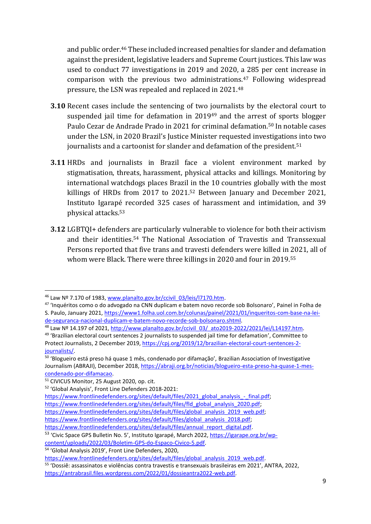and public order.<sup>46</sup> These included increased penalties for slander and defamation against the president, legislative leaders and Supreme Court justices. This law was used to conduct 77 investigations in 2019 and 2020, a 285 per cent increase in comparison with the previous two administrations.<sup>47</sup> Following widespread pressure, the LSN was repealed and replaced in 2021.<sup>48</sup>

- **3.10** Recent cases include the sentencing of two journalists by the electoral court to suspended jail time for defamation in 2019<sup>49</sup> and the arrest of sports blogger Paulo Cezar de Andrade Prado in 2021 for criminal defamation.<sup>50</sup> In notable cases under the LSN, in 2020 Brazil's Justice Minister requested investigations into two journalists and a cartoonist for slander and defamation of the president.<sup>51</sup>
- **3.11** HRDs and journalists in Brazil face a violent environment marked by stigmatisation, threats, harassment, physical attacks and killings. Monitoring by international watchdogs places Brazil in the 10 countries globally with the most killings of HRDs from 2017 to 2021. <sup>52</sup> Between January and December 2021, Instituto Igarapé recorded 325 cases of harassment and intimidation, and 39 physical attacks.<sup>53</sup>
- **3.12** LGBTQI+ defenders are particularly vulnerable to violence for both their activism and their identities. <sup>54</sup> The National Association of Travestis and Transsexual Persons reported that five trans and travesti defenders were killed in 2021, all of whom were Black. There were three killings in 2020 and four in 2019.<sup>55</sup>

[https://www.frontlinedefenders.org/sites/default/files/annual\\_report\\_digital.pdf.](https://www.frontlinedefenders.org/sites/default/files/annual_report_digital.pdf)

<sup>&</sup>lt;sup>46</sup> Law Nº 7.170 of 1983, [www.planalto.gov.br/ccivil\\_03/leis/l7170.htm.](http://www.planalto.gov.br/ccivil_03/leis/l7170.htm)

<sup>47</sup> 'Inquéritos como o do advogado na CNN duplicam e batem novo recorde sob Bolsonaro', Painel in Folha de S. Paulo, January 2021[, https://www1.folha.uol.com.br/colunas/painel/2021/01/inqueritos-com-base-na-lei](https://www1.folha.uol.com.br/colunas/painel/2021/01/inqueritos-com-base-na-lei-de-seguranca-nacional-duplicam-e-batem-novo-recorde-sob-bolsonaro.shtml)[de-seguranca-nacional-duplicam-e-batem-novo-recorde-sob-bolsonaro.shtml.](https://www1.folha.uol.com.br/colunas/painel/2021/01/inqueritos-com-base-na-lei-de-seguranca-nacional-duplicam-e-batem-novo-recorde-sob-bolsonaro.shtml)

<sup>&</sup>lt;sup>48</sup> Law Nº 14.197 of 2021, http://www.planalto.gov.br/ccivil 03/ ato2019-2022/2021/lei/L14197.htm.

<sup>&</sup>lt;sup>49</sup> 'Brazilian electoral court sentences 2 journalists to suspended jail time for defamation', Committee to Protect Journalists, 2 December 2019[, https://cpj.org/2019/12/brazilian-electoral-court-sentences-2](https://cpj.org/2019/12/brazilian-electoral-court-sentences-2-journalists/) [journalists/.](https://cpj.org/2019/12/brazilian-electoral-court-sentences-2-journalists/)

<sup>&</sup>lt;sup>50</sup> 'Blogueiro está preso há quase 1 mês, condenado por difamação', Brazilian Association of Investigative Journalism (ABRAJI), December 2018, [https://abraji.org.br/noticias/blogueiro-esta-preso-ha-quase-1-mes](https://abraji.org.br/noticias/blogueiro-esta-preso-ha-quase-1-mes-condenado-por-difamacao)[condenado-por-difamacao.](https://abraji.org.br/noticias/blogueiro-esta-preso-ha-quase-1-mes-condenado-por-difamacao)

<sup>51</sup> CIVICUS Monitor, 25 August 2020, op. cit.

<sup>52</sup> 'Global Analysis', Front Line Defenders 2018-2021:

[https://www.frontlinedefenders.org/sites/default/files/2021\\_global\\_analysis\\_-\\_final.pdf;](https://www.frontlinedefenders.org/sites/default/files/2021_global_analysis_-_final.pdf) [https://www.frontlinedefenders.org/sites/default/files/fld\\_global\\_analysis\\_2020.pdf;](https://www.frontlinedefenders.org/sites/default/files/fld_global_analysis_2020.pdf) https://www.frontlinedefenders.org/sites/default/files/global\_analysis\_2019\_web.pdf; [https://www.frontlinedefenders.org/sites/default/files/global\\_analysis\\_2018.pdf;](https://www.frontlinedefenders.org/sites/default/files/global_analysis_2018.pdf)

<sup>&</sup>lt;sup>53</sup> 'Civic Space GPS Bulletin No. 5', Instituto Igarapé, March 2022, [https://igarape.org.br/wp](https://igarape.org.br/wp-content/uploads/2022/03/Boletim-GPS-do-Espaco-Civico-5.pdf)[content/uploads/2022/03/Boletim-GPS-do-Espaco-Civico-5.pdf.](https://igarape.org.br/wp-content/uploads/2022/03/Boletim-GPS-do-Espaco-Civico-5.pdf)

<sup>&</sup>lt;sup>54</sup> 'Global Analysis 2019', Front Line Defenders, 2020,

[https://www.frontlinedefenders.org/sites/default/files/global\\_analysis\\_2019\\_web.pdf.](https://www.frontlinedefenders.org/sites/default/files/global_analysis_2019_web.pdf)

<sup>55</sup> 'Dossiê: assassinatos e violências contra travestis e transexuais brasileiras em 2021', ANTRA, 2022, [https://antrabrasil.files.wordpress.com/2022/01/dossieantra2022-web.pdf.](https://antrabrasil.files.wordpress.com/2022/01/dossieantra2022-web.pdf)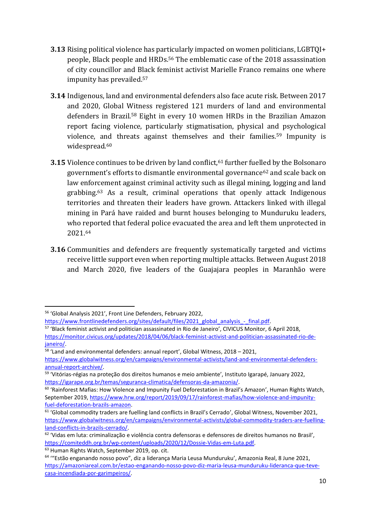- **3.13** Rising political violence has particularly impacted on women politicians, LGBTQI+ people, Black people and HRDs.<sup>56</sup> The emblematic case of the 2018 assassination of city councillor and Black feminist activist Marielle Franco remains one where impunity has prevailed. 57
- **3.14** Indigenous, land and environmental defenders also face acute risk. Between 2017 and 2020, Global Witness registered 121 murders of land and environmental defenders in Brazil.<sup>58</sup> Eight in every 10 women HRDs in the Brazilian Amazon report facing violence, particularly stigmatisation, physical and psychological violence, and threats against themselves and their families.<sup>59</sup> Impunity is widespread.<sup>60</sup>
- **3.15** Violence continues to be driven by land conflict,<sup>61</sup> further fuelled by the Bolsonaro government's efforts to dismantle environmental governance<sup>62</sup> and scale back on law enforcement against criminal activity such as illegal mining, logging and land grabbing.<sup>63</sup> As a result, criminal operations that openly attack Indigenous territories and threaten their leaders have grown. Attackers linked with illegal mining in Pará have raided and burnt houses belonging to Munduruku leaders, who reported that federal police evacuated the area and left them unprotected in 2021. 64
- **3.16** Communities and defenders are frequently systematically targeted and victims receive little support even when reporting multiple attacks. Between August 2018 and March 2020, five leaders of the Guajajara peoples in Maranhão were

<sup>56</sup> 'Global Analysis 2021', Front Line Defenders, February 2022,

[https://www.frontlinedefenders.org/sites/default/files/2021\\_global\\_analysis\\_-\\_final.pdf.](https://www.frontlinedefenders.org/sites/default/files/2021_global_analysis_-_final.pdf)

<sup>57</sup> 'Black feminist activist and politician assassinated in Rio de Janeiro', CIVICUS Monitor, 6 April 2018, [https://monitor.civicus.org/updates/2018/04/06/black-feminist-activist-and-politician-assassinated-rio-de](https://monitor.civicus.org/updates/2018/04/06/black-feminist-activist-and-politician-assassinated-rio-de-janeiro/)[janeiro/.](https://monitor.civicus.org/updates/2018/04/06/black-feminist-activist-and-politician-assassinated-rio-de-janeiro/)

<sup>58</sup> 'Land and environmental defenders: annual report', Global Witness, 2018 – 2021,

[https://www.globalwitness.org/en/campaigns/environmental-activists/land-and-environmental-defenders-](https://www.globalwitness.org/en/campaigns/environmental-activists/land-and-environmental-defenders-annual-report-archive/)

<sup>&</sup>lt;u>annual-report-archive/</u>.<br><sup>59</sup> 'Vitórias-régias na proteção dos direitos humanos e meio ambiente', Instituto Igarapé, January 2022, [https://igarape.org.br/temas/seguranca-climatica/defensoras-da-amazonia/.](https://igarape.org.br/temas/seguranca-climatica/defensoras-da-amazonia/)

<sup>&</sup>lt;sup>60</sup> 'Rainforest Mafias: How Violence and Impunity Fuel Deforestation in Brazil's Amazon', Human Rights Watch, September 2019, [https://www.hrw.org/report/2019/09/17/rainforest-mafias/how-violence-and-impunity](https://www.hrw.org/report/2019/09/17/rainforest-mafias/how-violence-and-impunity-fuel-deforestation-brazils-amazon)[fuel-deforestation-brazils-amazon.](https://www.hrw.org/report/2019/09/17/rainforest-mafias/how-violence-and-impunity-fuel-deforestation-brazils-amazon)

<sup>&</sup>lt;sup>61</sup> 'Global commodity traders are fuelling land conflicts in Brazil's Cerrado', Global Witness, November 2021, [https://www.globalwitness.org/en/campaigns/environmental-activists/global-commodity-traders-are-fuelling](https://www.globalwitness.org/en/campaigns/environmental-activists/global-commodity-traders-are-fuelling-land-conflicts-in-brazils-cerrado/)[land-conflicts-in-brazils-cerrado/.](https://www.globalwitness.org/en/campaigns/environmental-activists/global-commodity-traders-are-fuelling-land-conflicts-in-brazils-cerrado/)

 $62$  'Vidas em luta: criminalização e violência contra defensoras e defensores de direitos humanos no Brasil'. [https://comiteddh.org.br/wp-content/uploads/2020/12/Dossie-Vidas-em-Luta.pdf.](https://comiteddh.org.br/wp-content/uploads/2020/12/Dossie-Vidas-em-Luta.pdf)

<sup>&</sup>lt;sup>63</sup> Human Rights Watch, September 2019, op. cit.

<sup>&</sup>lt;sup>64</sup> "Estão enganando nosso povo", diz a liderança Maria Leusa Munduruku', Amazonia Real, 8 June 2021, [https://amazoniareal.com.br/estao-enganando-nosso-povo-diz-maria-leusa-munduruku-lideranca-que-teve](https://amazoniareal.com.br/estao-enganando-nosso-povo-diz-maria-leusa-munduruku-lideranca-que-teve-casa-incendiada-por-garimpeiros/)[casa-incendiada-por-garimpeiros/.](https://amazoniareal.com.br/estao-enganando-nosso-povo-diz-maria-leusa-munduruku-lideranca-que-teve-casa-incendiada-por-garimpeiros/)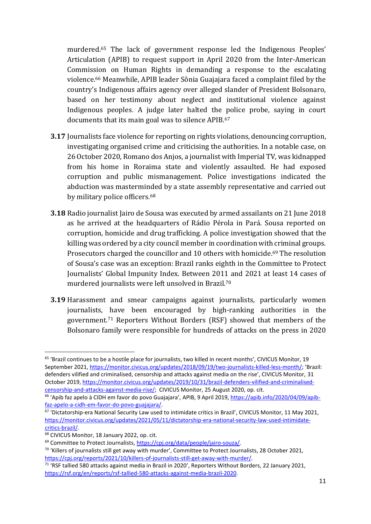murdered.<sup>65</sup> The lack of government response led the Indigenous Peoples' Articulation (APIB) to request support in April 2020 from the Inter-American Commission on Human Rights in demanding a response to the escalating violence.<sup>66</sup> Meanwhile, APIB leader Sônia Guajajara faced a complaint filed by the country's Indigenous affairs agency over alleged slander of President Bolsonaro, based on her testimony about neglect and institutional violence against Indigenous peoples. A judge later halted the police probe, saying in court documents that its main goal was to silence APIB.<sup>67</sup>

- **3.17** Journalists face violence for reporting on rights violations, denouncing corruption, investigating organised crime and criticising the authorities. In a notable case, on 26 October 2020, Romano dos Anjos, a journalist with Imperial TV, was kidnapped from his home in Roraima state and violently assaulted. He had exposed corruption and public mismanagement. Police investigations indicated the abduction was masterminded by a state assembly representative and carried out by military police officers.<sup>68</sup>
- **3.18** Radio journalist Jairo de Sousa was executed by armed assailants on 21 June 2018 as he arrived at the headquarters of Rádio Pérola in Pará. Sousa reported on corruption, homicide and drug trafficking. A police investigation showed that the killing was ordered by a city council member in coordination with criminal groups. Prosecutors charged the councillor and 10 others with homicide.<sup>69</sup> The resolution of Sousa's case was an exception: Brazil ranks eighth in the Committee to Protect Journalists' Global Impunity Index. Between 2011 and 2021 at least 14 cases of murdered journalists were left unsolved in Brazil.<sup>70</sup>
- **3.19** Harassment and smear campaigns against journalists, particularly women journalists, have been encouraged by high-ranking authorities in the government.<sup>71</sup> Reporters Without Borders (RSF) showed that members of the Bolsonaro family were responsible for hundreds of attacks on the press in 2020

<sup>65</sup> 'Brazil continues to be a hostile place for journalists, two killed in recent months', CIVICUS Monitor, 19 September 2021, [https://monitor.civicus.org/updates/2018/09/19/two-journalists-killed-less-month/;](https://monitor.civicus.org/updates/2018/09/19/two-journalists-killed-less-month/) 'Brazil: defenders vilified and criminalised, censorship and attacks against media on the rise', CIVICUS Monitor, 31 October 2019, [https://monitor.civicus.org/updates/2019/10/31/brazil-defenders-vilified-and-criminalised](https://monitor.civicus.org/updates/2019/10/31/brazil-defenders-vilified-and-criminalised-censorship-and-attacks-against-media-rise/)[censorship-and-attacks-against-media-rise/;](https://monitor.civicus.org/updates/2019/10/31/brazil-defenders-vilified-and-criminalised-censorship-and-attacks-against-media-rise/) CIVICUS Monitor, 25 August 2020, op. cit.

<sup>&</sup>lt;sup>66</sup> 'Apib faz apelo à CIDH em favor do povo Guajajara', APIB, 9 April 2019, [https://apib.info/2020/04/09/apib](https://apib.info/2020/04/09/apib-faz-apelo-a-cidh-em-favor-do-povo-guajajara/)[faz-apelo-a-cidh-em-favor-do-povo-guajajara/.](https://apib.info/2020/04/09/apib-faz-apelo-a-cidh-em-favor-do-povo-guajajara/)

<sup>67</sup> 'Dictatorship-era National Security Law used to intimidate critics in Brazil', CIVICUS Monitor, 11 May 2021, [https://monitor.civicus.org/updates/2021/05/11/dictatorship-era-national-security-law-used-intimidate](https://monitor.civicus.org/updates/2021/05/11/dictatorship-era-national-security-law-used-intimidate-critics-brazil/)[critics-brazil/.](https://monitor.civicus.org/updates/2021/05/11/dictatorship-era-national-security-law-used-intimidate-critics-brazil/)

<sup>68</sup> CIVICUS Monitor, 18 January 2022, op. cit.

<sup>69</sup> Committee to Protect Journalists, [https://cpj.org/data/people/jairo-souza/.](https://cpj.org/data/people/jairo-souza/)

<sup>&</sup>lt;sup>70</sup> 'Killers of journalists still get away with murder', Committee to Protect Journalists, 28 October 2021, [https://cpj.org/reports/2021/10/killers-of-journalists-still-get-away-with-murder/.](https://cpj.org/reports/2021/10/killers-of-journalists-still-get-away-with-murder/)

<sup>&</sup>lt;sup>71</sup> 'RSF tallied 580 attacks against media in Brazil in 2020', Reporters Without Borders, 22 January 2021, [https://rsf.org/en/reports/rsf-tallied-580-attacks-against-media-brazil-2020.](https://rsf.org/en/reports/rsf-tallied-580-attacks-against-media-brazil-2020)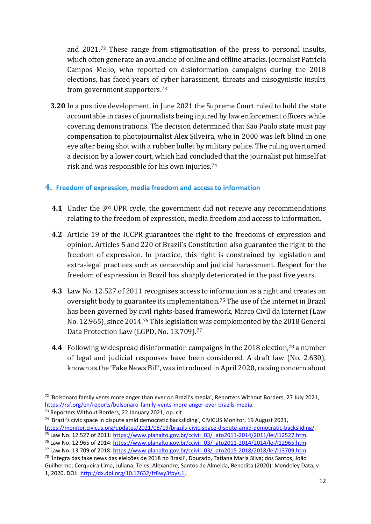and 2021.<sup>72</sup> These range from stigmatisation of the press to personal insults, which often generate an avalanche of online and offline attacks. Journalist Patrícia Campos Mello, who reported on disinformation campaigns during the 2018 elections, has faced years of cyber harassment, threats and misogynistic insults from government supporters.<sup>73</sup>

**3.20** In a positive development, in June 2021 the Supreme Court ruled to hold the state accountable in cases of journalists being injured by law enforcement officers while covering demonstrations. The decision determined that São Paulo state must pay compensation to photojournalist Alex Silveira, who in 2000 was left blind in one eye after being shot with a rubber bullet by military police. The ruling overturned a decision by a lower court, which had concluded that the journalist put himself at risk and was responsible for his own injuries.<sup>74</sup>

#### **4. Freedom of expression, media freedom and access to information**

- **4.1** Under the 3rd UPR cycle, the government did not receive any recommendations relating to the freedom of expression, media freedom and access to information.
- **4.2** Article 19 of the ICCPR guarantees the right to the freedoms of expression and opinion. Articles 5 and 220 of Brazil's Constitution also guarantee the right to the freedom of expression. In practice, this right is constrained by legislation and extra-legal practices such as censorship and judicial harassment. Respect for the freedom of expression in Brazil has sharply deteriorated in the past five years.
- **4.3** Law No. 12.527 of 2011 recognises access to information as a right and creates an oversight body to guarantee its implementation.<sup>75</sup> The use of the internet in Brazil has been governed by civil rights-based framework, Marco Civil da Internet (Law No. 12.965), since 2014.<sup>76</sup> This legislation was complemented by the 2018 General Data Protection Law (LGPD, No. 13.709).<sup>77</sup>
- **4.4** Following widespread disinformation campaigns in the 2018 election, <sup>78</sup> a number of legal and judicial responses have been considered. A draft law (No. 2.630), known as the 'Fake News Bill', was introduced in April 2020, raising concern about

<sup>73</sup> Reporters Without Borders, 22 January 2021, op. cit.

<sup>&</sup>lt;sup>72</sup> 'Bolsonaro family vents more anger than ever on Brazil's media', Reporters Without Borders, 27 July 2021, [https://rsf.org/en/reports/bolsonaro-family-vents-more-anger-ever-brazils-media.](https://rsf.org/en/reports/bolsonaro-family-vents-more-anger-ever-brazils-media)

<sup>74</sup> 'Brazil's civic space in dispute amid democratic backsliding', CIVICUS Monitor, 19 August 2021, [https://monitor.civicus.org/updates/2021/08/19/brazils-civic-space-dispute-amid-democratic-backsliding/.](https://monitor.civicus.org/updates/2021/08/19/brazils-civic-space-dispute-amid-democratic-backsliding/)

 $75$  Law No. 12.527 of 2011: [https://www.planalto.gov.br/ccivil\\_03/\\_ato2011-2014/2011/lei/l12527.htm.](https://www.planalto.gov.br/ccivil_03/_ato2011-2014/2011/lei/l12527.htm) <sup>76</sup> Law No. 12.965 of 2014[: https://www.planalto.gov.br/ccivil\\_03/\\_ato2011-2014/2014/lei/l12965.htm.](https://www.planalto.gov.br/ccivil_03/_ato2011-2014/2014/lei/l12965.htm)

<sup>77</sup> Law No. 13.709 of 2018[: https://www.planalto.gov.br/ccivil\\_03/\\_ato2015-2018/2018/lei/l13709.htm.](https://www.planalto.gov.br/ccivil_03/_ato2015-2018/2018/lei/l13709.htm)

<sup>&</sup>lt;sup>78</sup> 'Íntegra das fake news das eleições de 2018 no Brasil', Dourado, Tatiana Maria Silva; dos Santos, João Guilherme; Cerqueira Lima, Juliana; Teles, Alexandre; Santos de Almeida, Benedita (2020), Mendeley Data, v. 1, 2020. DOI: [http://dx.doi.org/10.17632/fr8wy3fpyz.1.](http://dx.doi.org/10.17632/fr8wy3fpyz.1)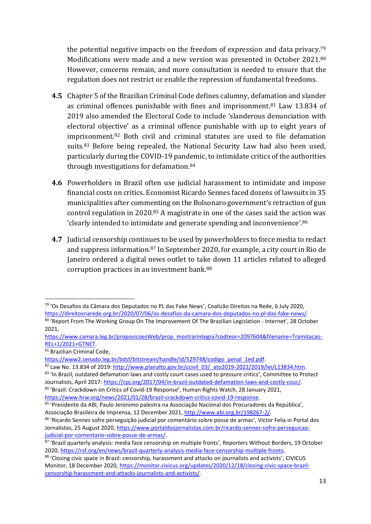the potential negative impacts on the freedom of expression and data privacy.<sup>79</sup> Modifications were made and a new version was presented in October 2021. 80 However, concerns remain, and more consultation is needed to ensure that the regulation does not restrict or enable the repression of fundamental freedoms.

- **4.5** Chapter 5 of the Brazilian Criminal Code defines calumny, defamation and slander as criminal offences punishable with fines and imprisonment.<sup>81</sup> Law 13.834 of 2019 also amended the Electoral Code to include 'slanderous denunciation with electoral objective' as a criminal offence punishable with up to eight years of imprisonment. <sup>82</sup> Both civil and criminal statutes are used to file defamation suits.<sup>83</sup> Before being repealed, the National Security Law had also been used, particularly during the COVID-19 pandemic, to intimidate critics of the authorities through investigations for defamation.<sup>84</sup>
- **4.6** Powerholders in Brazil often use judicial harassment to intimidate and impose financial costs on critics. Economist Ricardo Sennes faced dozens of lawsuits in 35 municipalities after commenting on the Bolsonaro government's retraction of gun control regulation in 2020.<sup>85</sup> A magistrate in one of the cases said the action was 'clearly intended to intimidate and generate spending and inconvenience'. 86
- **4.7** Judicial censorship continues to be used by powerholders to force media to redact and suppress information.<sup>87</sup> In September 2020, for example, a city court in Rio de Janeiro ordered a digital news outlet to take down 11 articles related to alleged corruption practices in an investment bank.<sup>88</sup>

[https://www.camara.leg.br/proposicoesWeb/prop\\_mostrarintegra?codteor=2097604&filename=Tramitacao-](https://www.camara.leg.br/proposicoesWeb/prop_mostrarintegra?codteor=2097604&filename=Tramitacao-REL+1/2021+GTNET)[REL+1/2021+GTNET.](https://www.camara.leg.br/proposicoesWeb/prop_mostrarintegra?codteor=2097604&filename=Tramitacao-REL+1/2021+GTNET)

<sup>81</sup> Brazilian Criminal Code,

<sup>79</sup> 'Os Desafios da Câmara dos Deputados no PL das Fake News', Coalizão Direitos na Rede, 6 July 2020, [https://direitosnarede.org.br/2020/07/06/os-desafios-da-camara-dos-deputados-no-pl-das-fake-news/.](https://direitosnarede.org.br/2020/07/06/os-desafios-da-camara-dos-deputados-no-pl-das-fake-news/)

<sup>80 &#</sup>x27;Report From The Working Group On The Improvement Of The Brazilian Legislation - Internet', 28 October 2021,

[https://www2.senado.leg.br/bdsf/bitstream/handle/id/529748/codigo\\_penal\\_1ed.pdf.](https://www2.senado.leg.br/bdsf/bitstream/handle/id/529748/codigo_penal_1ed.pdf)

<sup>82</sup> Law No. 13.834 of 2019[: http://www.planalto.gov.br/ccivil\\_03/\\_ato2019-2022/2019/lei/L13834.htm.](http://www.planalto.gov.br/ccivil_03/_ato2019-2022/2019/lei/L13834.htm) 83 'In Brazil, outdated defamation laws and costly court cases used to pressure critics', Committee to Protect Journalists, April 2017[: https://cpj.org/2017/04/in-brazil-outdated-defamation-laws-and-costly-cour/.](https://cpj.org/2017/04/in-brazil-outdated-defamation-laws-and-costly-cour/)

<sup>84 &#</sup>x27;Brazil: Crackdown on Critics of Covid-19 Response', Human Rights Watch, 28 January 2021, [https://www.hrw.org/news/2021/01/28/brazil-crackdown-critics-covid-19-response.](https://www.hrw.org/news/2021/01/28/brazil-crackdown-critics-covid-19-response)

<sup>85</sup> 'Presidente da ABI, Paulo Jeronimo palestra na Associação Nacional dos Procuradores da República', Associação Brasileira de Imprensa, 12 December 2021, [http://www.abi.org.br/198267-2/.](http://www.abi.org.br/198267-2/)

<sup>&</sup>lt;sup>86</sup> 'Ricardo Sennes sofre perseguição judicial por comentário sobre posse de armas', Victor Felix in Portal dos Jornalistas, 25 August 2020, [https://www.portaldosjornalistas.com.br/ricardo-sennes-sofre-perseguicao](https://www.portaldosjornalistas.com.br/ricardo-sennes-sofre-perseguicao-judicial-por-comentario-sobre-posse-de-armas/)[judicial-por-comentario-sobre-posse-de-armas/.](https://www.portaldosjornalistas.com.br/ricardo-sennes-sofre-perseguicao-judicial-por-comentario-sobre-posse-de-armas/)

<sup>87 &#</sup>x27;Brazil quarterly analysis: media face censorship on multiple fronts', Reporters Without Borders, 19 October 2020, [https://rsf.org/en/news/brazil-quarterly-analysis-media-face-censorship-multiple-fronts.](https://rsf.org/en/news/brazil-quarterly-analysis-media-face-censorship-multiple-fronts)

<sup>88 &#</sup>x27;Closing civic space in Brazil: censorship, harassment and attacks on journalists and activists', CIVICUS Monitor, 18 December 2020, [https://monitor.civicus.org/updates/2020/12/18/closing-civic-space-brazil](https://monitor.civicus.org/updates/2020/12/18/closing-civic-space-brazil-censorship-harassment-and-attacks-journalists-and-activists/)[censorship-harassment-and-attacks-journalists-and-activists/.](https://monitor.civicus.org/updates/2020/12/18/closing-civic-space-brazil-censorship-harassment-and-attacks-journalists-and-activists/)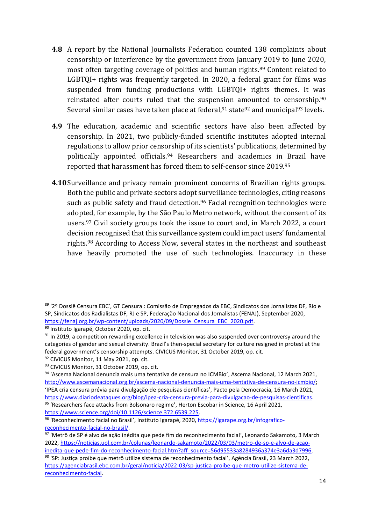- **4.8** A report by the National Journalists Federation counted 138 complaints about censorship or interference by the government from January 2019 to June 2020, most often targeting coverage of politics and human rights. <sup>89</sup> Content related to LGBTQI+ rights was frequently targeted. In 2020, a federal grant for films was suspended from funding productions with LGBTQI+ rights themes. It was reinstated after courts ruled that the suspension amounted to censorship.<sup>90</sup> Several similar cases have taken place at federal,  $91$  state  $92$  and municipal  $93$  levels.
- **4.9** The education, academic and scientific sectors have also been affected by censorship. In 2021, two publicly-funded scientific institutes adopted internal regulations to allow prior censorship of its scientists' publications, determined by politically appointed officials.<sup>94</sup> Researchers and academics in Brazil have reported that harassment has forced them to self-censor since 2019. 95
- **4.10**Surveillance and privacy remain prominent concerns of Brazilian rights groups. Both the public and private sectors adopt surveillance technologies, citing reasons such as public safety and fraud detection.<sup>96</sup> Facial recognition technologies were adopted, for example, by the São Paulo Metro network, without the consent of its users. <sup>97</sup> Civil society groups took the issue to court and, in March 2022, a court decision recognised that this surveillance system could impact users' fundamental rights. <sup>98</sup> According to Access Now, several states in the northeast and southeast have heavily promoted the use of such technologies. Inaccuracy in these

<sup>89</sup> '2º Dossiê Censura EBC', GT Censura : Comissão de Empregados da EBC, Sindicatos dos Jornalistas DF, Rio e SP, Sindicatos dos Radialistas DF, RJ e SP, Federação Nacional dos Jornalistas (FENAJ), September 2020, [https://fenaj.org.br/wp-content/uploads/2020/09/Dossie\\_Censura\\_EBC\\_2020.pdf.](https://fenaj.org.br/wp-content/uploads/2020/09/Dossie_Censura_EBC_2020.pdf)

<sup>90</sup> Instituto Igarapé, October 2020, op. cit.

<sup>&</sup>lt;sup>91</sup> In 2019, a competition rewarding excellence in television was also suspended over controversy around the categories of gender and sexual diversity. Brazil's then-special secretary for culture resigned in protest at the federal government's censorship attempts. CIVICUS Monitor, 31 October 2019, op. cit. 92 CIVICUS Monitor, 11 May 2021, op. cit.

<sup>93</sup> CIVICUS Monitor, 31 October 2019, op. cit.

<sup>94 &#</sup>x27;Ascema Nacional denuncia mais uma tentativa de censura no ICMBio', Ascema Nacional, 12 March 2021, [http://www.ascemanacional.org.br/ascema-nacional-denuncia-mais-uma-tentativa-de-censura-no-icmbio/;](http://www.ascemanacional.org.br/ascema-nacional-denuncia-mais-uma-tentativa-de-censura-no-icmbio/) 'IPEA cria censura prévia para divulgação de pesquisas científicas', Pacto pela Democracia, 16 March 2021, [https://www.diariodeataques.org/blog/ipea-cria-censura-previa-para-divulgacao-de-pesquisas-cientificas.](https://www.diariodeataques.org/blog/ipea-cria-censura-previa-para-divulgacao-de-pesquisas-cientificas) <sup>95</sup> 'Researchers face attacks from Bolsonaro regime', Herton Escobar in Science, 16 April 2021, [https://www.science.org/doi/10.1126/science.372.6539.225.](https://www.science.org/doi/10.1126/science.372.6539.225)

<sup>96 &#</sup>x27;Reconhecimento facial no Brasil', Instituto Igarapé, 2020[, https://igarape.org.br/infografico](https://igarape.org.br/infografico-reconhecimento-facial-no-brasil/)[reconhecimento-facial-no-brasil/.](https://igarape.org.br/infografico-reconhecimento-facial-no-brasil/)

<sup>97 &#</sup>x27;Metrô de SP é alvo de ação inédita que pede fim do reconhecimento facial', Leonardo Sakamoto, 3 March 2022, [https://noticias.uol.com.br/colunas/leonardo-sakamoto/2022/03/03/metro-de-sp-e-alvo-de-acao](https://noticias.uol.com.br/colunas/leonardo-sakamoto/2022/03/03/metro-de-sp-e-alvo-de-acao-inedita-que-pede-fim-do-reconhecimento-facial.htm?aff_source=56d95533a8284936a374e3a6da3d7996)[inedita-que-pede-fim-do-reconhecimento-facial.htm?aff\\_source=56d95533a8284936a374e3a6da3d7996.](https://noticias.uol.com.br/colunas/leonardo-sakamoto/2022/03/03/metro-de-sp-e-alvo-de-acao-inedita-que-pede-fim-do-reconhecimento-facial.htm?aff_source=56d95533a8284936a374e3a6da3d7996)

<sup>&</sup>lt;sup>98</sup> 'SP: Justiça proíbe que metrô utilize sistema de reconhecimento facial', Agência Brasil, 23 March 2022, [https://agenciabrasil.ebc.com.br/geral/noticia/2022-03/sp-justica-proibe-que-metro-utilize-sistema-de](https://agenciabrasil.ebc.com.br/geral/noticia/2022-03/sp-justica-proibe-que-metro-utilize-sistema-de-reconhecimento-facial)[reconhecimento-facial.](https://agenciabrasil.ebc.com.br/geral/noticia/2022-03/sp-justica-proibe-que-metro-utilize-sistema-de-reconhecimento-facial)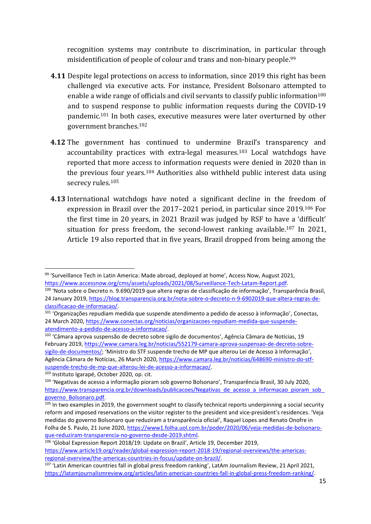recognition systems may contribute to discrimination, in particular through misidentification of people of colour and trans and non-binary people. 99

- **4.11** Despite legal protections on access to information, since 2019 this right has been challenged via executive acts. For instance, President Bolsonaro attempted to enable a wide range of officials and civil servants to classify public information<sup>100</sup> and to suspend response to public information requests during the COVID-19 pandemic.<sup>101</sup> In both cases, executive measures were later overturned by other government branches.<sup>102</sup>
- **4.12** The government has continued to undermine Brazil's transparency and accountability practices with extra-legal measures.<sup>103</sup> Local watchdogs have reported that more access to information requests were denied in 2020 than in the previous four years.<sup>104</sup> Authorities also withheld public interest data using secrecy rules.<sup>105</sup>
- **4.13** International watchdogs have noted a significant decline in the freedom of expression in Brazil over the 2017–2021 period, in particular since 2019.<sup>106</sup> For the first time in 20 years, in 2021 Brazil was judged by RSF to have a 'difficult' situation for press freedom, the second-lowest ranking available.<sup>107</sup> In 2021, Article 19 also reported that in five years, Brazil dropped from being among the

<sup>99 &#</sup>x27;Surveillance Tech in Latin America: Made abroad, deployed at home', Access Now, August 2021, [https://www.accessnow.org/cms/assets/uploads/2021/08/Surveillance-Tech-Latam-Report.pdf.](https://www.accessnow.org/cms/assets/uploads/2021/08/Surveillance-Tech-Latam-Report.pdf)

<sup>100</sup> 'Nota sobre o Decreto n. 9.690/2019 que altera regras de classificação de informação', Transparência Brasil, 24 January 2019, [https://blog.transparencia.org.br/nota-sobre-o-decreto-n-9-6902019-que-altera-regras-de](https://blog.transparencia.org.br/nota-sobre-o-decreto-n-9-6902019-que-altera-regras-de-classificacao-de-informacao/)[classificacao-de-informacao/.](https://blog.transparencia.org.br/nota-sobre-o-decreto-n-9-6902019-que-altera-regras-de-classificacao-de-informacao/)

<sup>101</sup> 'Organizações repudiam medida que suspende atendimento a pedido de acesso à informação', Conectas, 24 March 2020, [https://www.conectas.org/noticias/organizacoes-repudiam-medida-que-suspende](https://www.conectas.org/noticias/organizacoes-repudiam-medida-que-suspende-atendimento-a-pedido-de-acesso-a-informacao/)[atendimento-a-pedido-de-acesso-a-informacao/.](https://www.conectas.org/noticias/organizacoes-repudiam-medida-que-suspende-atendimento-a-pedido-de-acesso-a-informacao/)

<sup>102</sup> 'Câmara aprova suspensão de decreto sobre sigilo de documentos', Agência Câmara de Notícias, 19 February 2019, [https://www.camara.leg.br/noticias/552179-camara-aprova-suspensao-de-decreto-sobre](https://www.camara.leg.br/noticias/552179-camara-aprova-suspensao-de-decreto-sobre-sigilo-de-documentos/)[sigilo-de-documentos/;](https://www.camara.leg.br/noticias/552179-camara-aprova-suspensao-de-decreto-sobre-sigilo-de-documentos/) 'Ministro do STF suspende trecho de MP que alterou Lei de Acesso à Informação', Agência Câmara de Notícias, 26 March 2020, [https://www.camara.leg.br/noticias/648690-ministro-do-stf](https://www.camara.leg.br/noticias/648690-ministro-do-stf-suspende-trecho-de-mp-que-alterou-lei-de-acesso-a-informacao/)[suspende-trecho-de-mp-que-alterou-lei-de-acesso-a-informacao/.](https://www.camara.leg.br/noticias/648690-ministro-do-stf-suspende-trecho-de-mp-que-alterou-lei-de-acesso-a-informacao/)

<sup>103</sup> Instituto Igarapé, October 2020, op. cit.

<sup>104</sup> 'Negativas de acesso a informação pioram sob governo Bolsonaro', Transparência Brasil, 30 July 2020, https://www.transparencia.org.br/downloads/publicacoes/Negativas\_de\_acesso\_a\_informacao\_pioram\_sob [governo\\_Bolsonaro.pdf.](https://www.transparencia.org.br/downloads/publicacoes/Negativas_de_acesso_a_informacao_pioram_sob_governo_Bolsonaro.pdf)

 $105$  In two examples in 2019, the government sought to classify technical reports underpinning a social security reform and imposed reservations on the visitor register to the president and vice-president's residences. 'Veja medidas do governo Bolsonaro que reduziram a transparência oficial', Raquel Lopes and Renato Onofre in Folha de S. Paulo, 21 June 2020, [https://www1.folha.uol.com.br/poder/2020/06/veja-medidas-de-bolsonaro](https://www1.folha.uol.com.br/poder/2020/06/veja-medidas-de-bolsonaro-que-reduziram-transparencia-no-governo-desde-2019.shtml)[que-reduziram-transparencia-no-governo-desde-2019.shtml.](https://www1.folha.uol.com.br/poder/2020/06/veja-medidas-de-bolsonaro-que-reduziram-transparencia-no-governo-desde-2019.shtml)

<sup>106</sup> 'Global Expression Report 2018/19: Update on Brazil', Article 19, December 2019, [https://www.article19.org/reader/global-expression-report-2018-19/regional-overviews/the-americas](https://www.article19.org/reader/global-expression-report-2018-19/regional-overviews/the-americas-regional-overview/the-americas-countries-in-focus/update-on-brazil/)[regional-overview/the-americas-countries-in-focus/update-on-brazil/.](https://www.article19.org/reader/global-expression-report-2018-19/regional-overviews/the-americas-regional-overview/the-americas-countries-in-focus/update-on-brazil/)

<sup>&</sup>lt;sup>107</sup> 'Latin American countries fall in global press freedom ranking', LatAm Journalism Review, 21 April 2021, [https://latamjournalismreview.org/articles/latin-american-countries-fall-in-global-press-freedom-ranking/.](https://latamjournalismreview.org/articles/latin-american-countries-fall-in-global-press-freedom-ranking/)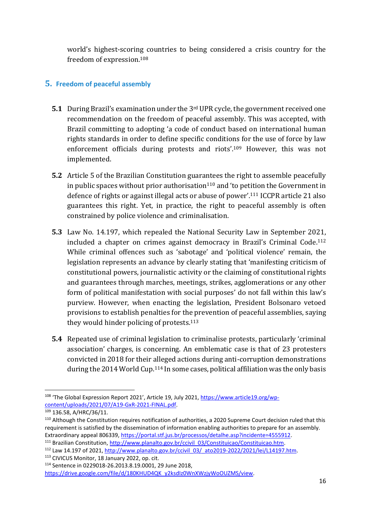world's highest-scoring countries to being considered a crisis country for the freedom of expression.<sup>108</sup>

## **5. Freedom of peaceful assembly**

- **5.1** During Brazil's examination under the 3rd UPR cycle, the government received one recommendation on the freedom of peaceful assembly. This was accepted, with Brazil committing to adopting 'a code of conduct based on international human rights standards in order to define specific conditions for the use of force by law enforcement officials during protests and riots'.<sup>109</sup> However, this was not implemented.
- **5.2** Article 5 of the Brazilian Constitution guarantees the right to assemble peacefully in public spaces without prior authorisation $110$  and 'to petition the Government in defence of rights or against illegal acts or abuse of power'. <sup>111</sup> ICCPR article 21 also guarantees this right. Yet, in practice, the right to peaceful assembly is often constrained by police violence and criminalisation.
- **5.3** Law No. 14.197, which repealed the National Security Law in September 2021, included a chapter on crimes against democracy in Brazil's Criminal Code.<sup>112</sup> While criminal offences such as 'sabotage' and 'political violence' remain, the legislation represents an advance by clearly stating that 'manifesting criticism of constitutional powers, journalistic activity or the claiming of constitutional rights and guarantees through marches, meetings, strikes, agglomerations or any other form of political manifestation with social purposes' do not fall within this law's purview. However, when enacting the legislation, President Bolsonaro vetoed provisions to establish penalties for the prevention of peaceful assemblies, saying they would hinder policing of protests.<sup>113</sup>
- **5.4** Repeated use of criminal legislation to criminalise protests, particularly 'criminal association' charges, is concerning. An emblematic case is that of 23 protesters convicted in 2018 for their alleged actions during anti-corruption demonstrations during the 2014 World Cup.<sup>114</sup> In some cases, political affiliation was the only basis

<sup>&</sup>lt;sup>108</sup> 'The Global Expression Report 2021', Article 19, July 2021, [https://www.article19.org/wp](https://www.article19.org/wp-content/uploads/2021/07/A19-GxR-2021-FINAL.pdf)[content/uploads/2021/07/A19-GxR-2021-FINAL.pdf.](https://www.article19.org/wp-content/uploads/2021/07/A19-GxR-2021-FINAL.pdf)

<sup>109</sup> 136.58, A/HRC/36/11.

<sup>110</sup> Although the Constitution requires notification of authorities, a 2020 Supreme Court decision ruled that this requirement is satisfied by the dissemination of information enabling authorities to prepare for an assembly. Extraordinary appeal 806339, [https://portal.stf.jus.br/processos/detalhe.asp?incidente=4555912.](https://portal.stf.jus.br/processos/detalhe.asp?incidente=4555912)

<sup>&</sup>lt;sup>111</sup> Brazilian Constitution, [http://www.planalto.gov.br/ccivil\\_03/Constituicao/Constituicao.htm.](http://www.planalto.gov.br/ccivil_03/Constituicao/Constituicao.htm)

 $112$  Law 14.197 of 2021, [http://www.planalto.gov.br/ccivil\\_03/\\_ato2019-2022/2021/lei/L14197.htm.](http://www.planalto.gov.br/ccivil_03/_ato2019-2022/2021/lei/L14197.htm)

<sup>113</sup> CIVICUS Monitor, 18 January 2022, op. cit.

<sup>114</sup> Sentence in 0229018-26.2013.8.19.0001, 29 June 2018,

[https://drive.google.com/file/d/180KHUD4QK\\_y2ksdIz0WnXWzjyWoOUZMS/view.](https://drive.google.com/file/d/180KHUD4QK_y2ksdIz0WnXWzjyWoOUZMS/view)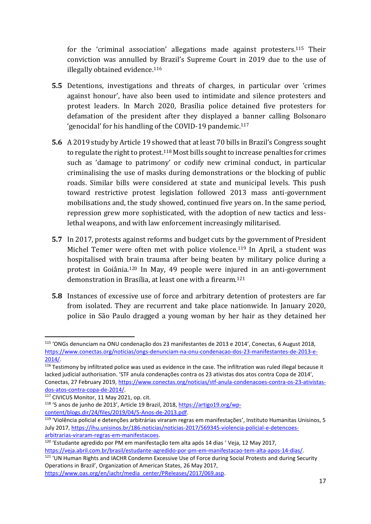for the 'criminal association' allegations made against protesters.<sup>115</sup> Their conviction was annulled by Brazil's Supreme Court in 2019 due to the use of illegally obtained evidence. 116

- **5.5** Detentions, investigations and threats of charges, in particular over 'crimes against honour', have also been used to intimidate and silence protesters and protest leaders. In March 2020, Brasília police detained five protesters for defamation of the president after they displayed a banner calling Bolsonaro 'genocidal' for his handling of the COVID-19 pandemic.<sup>117</sup>
- **5.6** A 2019 study by Article 19 showed that at least 70 bills in Brazil's Congress sought to regulate the right to protest.<sup>118</sup> Most bills sought to increase penalties for crimes such as 'damage to patrimony' or codify new criminal conduct, in particular criminalising the use of masks during demonstrations or the blocking of public roads. Similar bills were considered at state and municipal levels. This push toward restrictive protest legislation followed 2013 mass anti-government mobilisations and, the study showed, continued five years on. In the same period, repression grew more sophisticated, with the adoption of new tactics and lesslethal weapons, and with law enforcement increasingly militarised.
- **5.7** In 2017, protests against reforms and budget cuts by the government of President Michel Temer were often met with police violence.<sup>119</sup> In April, a student was hospitalised with brain trauma after being beaten by military police during a protest in Goiânia.<sup>120</sup> In May, 49 people were injured in an anti-government demonstration in Brasília, at least one with a firearm. 121
- **5.8** Instances of excessive use of force and arbitrary detention of protesters are far from isolated. They are recurrent and take place nationwide. In January 2020, police in São Paulo dragged a young woman by her hair as they detained her

[https://veja.abril.com.br/brasil/estudante-agredido-por-pm-em-manifestacao-tem-alta-apos-14-dias/.](https://veja.abril.com.br/brasil/estudante-agredido-por-pm-em-manifestacao-tem-alta-apos-14-dias/)

<sup>115</sup> 'ONGs denunciam na ONU condenação dos 23 manifestantes de 2013 e 2014', Conectas, 6 August 2018, [https://www.conectas.org/noticias/ongs-denunciam-na-onu-condenacao-dos-23-manifestantes-de-2013-e-](https://www.conectas.org/noticias/ongs-denunciam-na-onu-condenacao-dos-23-manifestantes-de-2013-e-2014/)[2014/.](https://www.conectas.org/noticias/ongs-denunciam-na-onu-condenacao-dos-23-manifestantes-de-2013-e-2014/)

<sup>&</sup>lt;sup>116</sup> Testimony by infiltrated police was used as evidence in the case. The infiltration was ruled illegal because it lacked judicial authorisation. 'STF anula condenações contra os 23 ativistas dos atos contra Copa de 2014', Conectas, 27 February 2019, [https://www.conectas.org/noticias/stf-anula-condenacoes-contra-os-23-ativistas](https://www.conectas.org/noticias/stf-anula-condenacoes-contra-os-23-ativistas-dos-atos-contra-copa-de-2014/)[dos-atos-contra-copa-de-2014/.](https://www.conectas.org/noticias/stf-anula-condenacoes-contra-os-23-ativistas-dos-atos-contra-copa-de-2014/)

 $117$  CIVICUS Monitor, 11 May 2021, op. cit.

<sup>118</sup> '5 anos de junho de 2013', Article 19 Brazil, 2018, [https://artigo19.org/wp](https://artigo19.org/wp-content/blogs.dir/24/files/2019/04/5-Anos-de-2013.pdf)[content/blogs.dir/24/files/2019/04/5-Anos-de-2013.pdf.](https://artigo19.org/wp-content/blogs.dir/24/files/2019/04/5-Anos-de-2013.pdf)

<sup>&</sup>lt;sup>119</sup> 'Violência policial e detenções arbitrárias viraram regras em manifestações', Instituto Humanitas Unisinos, 5 July 2017[, https://ihu.unisinos.br/186-noticias/noticias-2017/569345-violencia-policial-e-detencoes](https://ihu.unisinos.br/186-noticias/noticias-2017/569345-violencia-policial-e-detencoes-arbitrarias-viraram-regras-em-manifestacoes)[arbitrarias-viraram-regras-em-manifestacoes.](https://ihu.unisinos.br/186-noticias/noticias-2017/569345-violencia-policial-e-detencoes-arbitrarias-viraram-regras-em-manifestacoes)

<sup>&</sup>lt;sup>120</sup> 'Estudante agredido por PM em manifestação tem alta após 14 dias 'Veja, 12 May 2017,

<sup>&</sup>lt;sup>121</sup> 'UN Human Rights and IACHR Condemn Excessive Use of Force during Social Protests and during Security Operations in Brazil', Organization of American States, 26 May 2017,

[https://www.oas.org/en/iachr/media\\_center/PReleases/2017/069.asp.](https://www.oas.org/en/iachr/media_center/PReleases/2017/069.asp)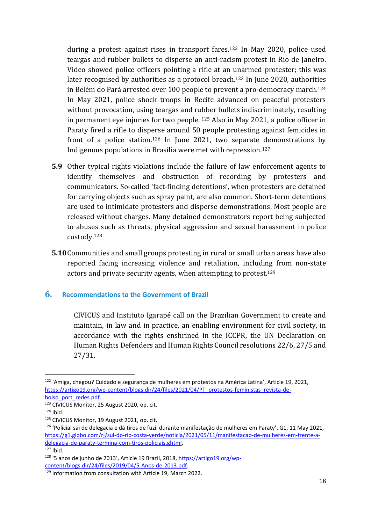during a protest against rises in transport fares.<sup>122</sup> In May 2020, police used teargas and rubber bullets to disperse an anti-racism protest in Rio de Janeiro. Video showed police officers pointing a rifle at an unarmed protester; this was later recognised by authorities as a protocol breach. <sup>123</sup> In June 2020, authorities in Belém do Pará arrested over 100 people to prevent a pro-democracy march.<sup>124</sup> In May 2021, police shock troops in Recife advanced on peaceful protesters without provocation, using teargas and rubber bullets indiscriminately, resulting in permanent eye injuries for two people. <sup>125</sup> Also in May 2021, a police officer in Paraty fired a rifle to disperse around 50 people protesting against femicides in front of a police station.<sup>126</sup> In June 2021, two separate demonstrations by Indigenous populations in Brasília were met with repression.<sup>127</sup>

- **5.9** Other typical rights violations include the failure of law enforcement agents to identify themselves and obstruction of recording by protesters and communicators. So-called 'fact-finding detentions', when protesters are detained for carrying objects such as spray paint, are also common. Short-term detentions are used to intimidate protesters and disperse demonstrations. Most people are released without charges. Many detained demonstrators report being subjected to abuses such as threats, physical aggression and sexual harassment in police custody.<sup>128</sup>
- **5.10**Communities and small groups protesting in rural or small urban areas have also reported facing increasing violence and retaliation, including from non-state actors and private security agents, when attempting to protest.<sup>129</sup>

#### **6. Recommendations to the Government of Brazil**

CIVICUS and Instituto Igarapé call on the Brazilian Government to create and maintain, in law and in practice, an enabling environment for civil society, in accordance with the rights enshrined in the ICCPR, the UN Declaration on Human Rights Defenders and Human Rights Council resolutions 22/6, 27/5 and 27/31.

<sup>122</sup> 'Amiga, chegou? Cuidado e segurança de mulheres em protestos na América Latina', Article 19, 2021, [https://artigo19.org/wp-content/blogs.dir/24/files/2021/04/PT\\_protestos-feministas\\_revista-de](https://artigo19.org/wp-content/blogs.dir/24/files/2021/04/PT_protestos-feministas_revista-de-bolso_port_redes.pdf)[bolso\\_port\\_redes.pdf.](https://artigo19.org/wp-content/blogs.dir/24/files/2021/04/PT_protestos-feministas_revista-de-bolso_port_redes.pdf)

<sup>123</sup> CIVICUS Monitor, 25 August 2020, op. cit.

 $124$  Ibid.

<sup>125</sup> CIVICUS Monitor, 19 August 2021, op. cit.

<sup>126</sup> 'Policial sai de delegacia e dá tiros de fuzil durante manifestação de mulheres em Paraty', G1, 11 May 2021, [https://g1.globo.com/rj/sul-do-rio-costa-verde/noticia/2021/05/11/manifestacao-de-mulheres-em-frente-a](https://g1.globo.com/rj/sul-do-rio-costa-verde/noticia/2021/05/11/manifestacao-de-mulheres-em-frente-a-delegacia-de-paraty-termina-com-tiros-policiais.ghtml)[delegacia-de-paraty-termina-com-tiros-policiais.ghtml.](https://g1.globo.com/rj/sul-do-rio-costa-verde/noticia/2021/05/11/manifestacao-de-mulheres-em-frente-a-delegacia-de-paraty-termina-com-tiros-policiais.ghtml)  $\overline{\phantom{a}127}$  Ibid.

<sup>128</sup> '5 anos de junho de 2013', Article 19 Brazil, 2018, [https://artigo19.org/wp](https://artigo19.org/wp-content/blogs.dir/24/files/2019/04/5-Anos-de-2013.pdf)[content/blogs.dir/24/files/2019/04/5-Anos-de-2013.pdf.](https://artigo19.org/wp-content/blogs.dir/24/files/2019/04/5-Anos-de-2013.pdf)

<sup>129</sup> Information from consultation with Article 19, March 2022.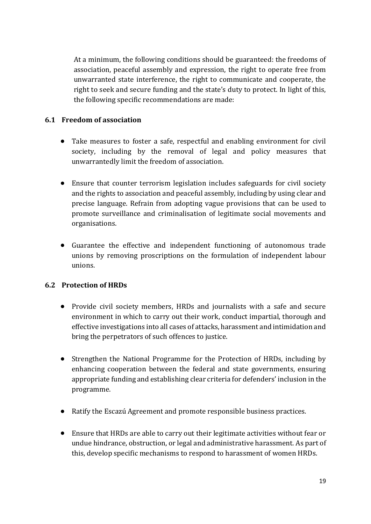At a minimum, the following conditions should be guaranteed: the freedoms of association, peaceful assembly and expression, the right to operate free from unwarranted state interference, the right to communicate and cooperate, the right to seek and secure funding and the state's duty to protect. In light of this, the following specific recommendations are made:

#### **6.1 Freedom of association**

- Take measures to foster a safe, respectful and enabling environment for civil society, including by the removal of legal and policy measures that unwarrantedly limit the freedom of association.
- Ensure that counter terrorism legislation includes safeguards for civil society and the rights to association and peaceful assembly, including by using clear and precise language. Refrain from adopting vague provisions that can be used to promote surveillance and criminalisation of legitimate social movements and organisations.
- Guarantee the effective and independent functioning of autonomous trade unions by removing proscriptions on the formulation of independent labour unions.

#### **6.2 Protection of HRDs**

- Provide civil society members, HRDs and journalists with a safe and secure environment in which to carry out their work, conduct impartial, thorough and effective investigations into all cases of attacks, harassment and intimidation and bring the perpetrators of such offences to justice.
- Strengthen the National Programme for the Protection of HRDs, including by enhancing cooperation between the federal and state governments, ensuring appropriate funding and establishing clear criteria for defenders' inclusion in the programme.
- Ratify the Escazú Agreement and promote responsible business practices.
- Ensure that HRDs are able to carry out their legitimate activities without fear or undue hindrance, obstruction, or legal and administrative harassment. As part of this, develop specific mechanisms to respond to harassment of women HRDs.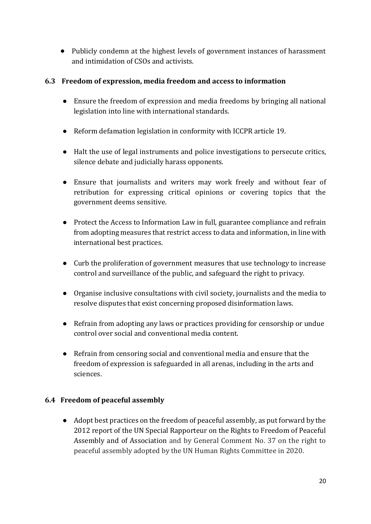• Publicly condemn at the highest levels of government instances of harassment and intimidation of CSOs and activists.

#### **6.3 Freedom of expression, media freedom and access to information**

- Ensure the freedom of expression and media freedoms by bringing all national legislation into line with international standards.
- Reform defamation legislation in conformity with ICCPR article 19.
- Halt the use of legal instruments and police investigations to persecute critics, silence debate and judicially harass opponents.
- Ensure that journalists and writers may work freely and without fear of retribution for expressing critical opinions or covering topics that the government deems sensitive.
- Protect the Access to Information Law in full, guarantee compliance and refrain from adopting measures that restrict access to data and information, in line with international best practices.
- Curb the proliferation of government measures that use technology to increase control and surveillance of the public, and safeguard the right to privacy.
- Organise inclusive consultations with civil society, journalists and the media to resolve disputes that exist concerning proposed disinformation laws.
- Refrain from adopting any laws or practices providing for censorship or undue control over social and conventional media content.
- Refrain from censoring social and conventional media and ensure that the freedom of expression is safeguarded in all arenas, including in the arts and sciences.

#### **6.4 Freedom of peaceful assembly**

● Adopt best practices on the freedom of peaceful assembly, as put forward by the 2012 report of the UN Special Rapporteur on the Rights to Freedom of Peaceful Assembly and of Association and by General Comment No. 37 on the right to peaceful assembly adopted by the UN Human Rights Committee in 2020.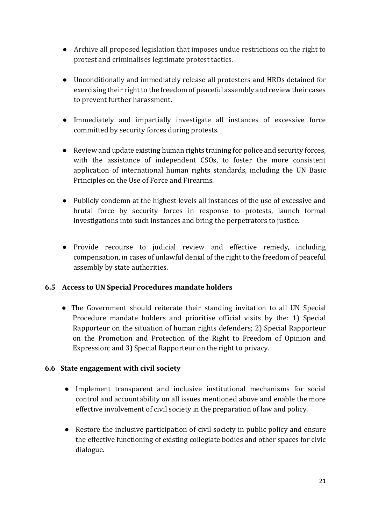- Archive all proposed legislation that imposes undue restrictions on the right to protest and criminalises legitimate protest tactics.
- Unconditionally and immediately release all protesters and HRDs detained for exercising their right to the freedom of peaceful assembly and review their cases to prevent further harassment.
- Immediately and impartially investigate all instances of excessive force committed by security forces during protests.
- Review and update existing human rights training for police and security forces, with the assistance of independent CSOs, to foster the more consistent application of international human rights standards, including the UN Basic Principles on the Use of Force and Firearms.
- Publicly condemn at the highest levels all instances of the use of excessive and brutal force by security forces in response to protests, launch formal investigations into such instances and bring the perpetrators to justice.
- Provide recourse to judicial review and effective remedy, including compensation, in cases of unlawful denial of the right to the freedom of peaceful assembly by state authorities.

#### **6.5 Access to UN Special Procedures mandate holders**

• The Government should reiterate their standing invitation to all UN Special Procedure mandate holders and prioritise official visits by the: 1) Special Rapporteur on the situation of human rights defenders; 2) Special Rapporteur on the Promotion and Protection of the Right to Freedom of Opinion and Expression; and 3) Special Rapporteur on the right to privacy.

#### **6.6 State engagement with civil society**

- Implement transparent and inclusive institutional mechanisms for social control and accountability on all issues mentioned above and enable the more effective involvement of civil society in the preparation of law and policy.
- Restore the inclusive participation of civil society in public policy and ensure the effective functioning of existing collegiate bodies and other spaces for civic dialogue.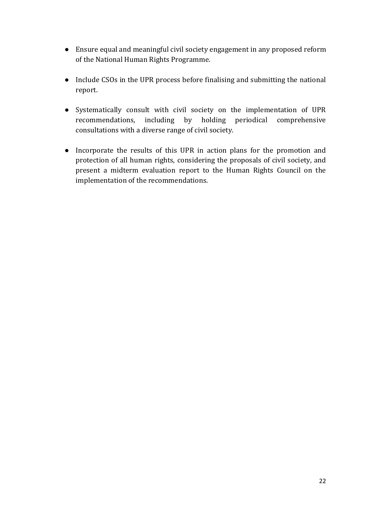- Ensure equal and meaningful civil society engagement in any proposed reform of the National Human Rights Programme.
- Include CSOs in the UPR process before finalising and submitting the national report.
- Systematically consult with civil society on the implementation of UPR recommendations, including by holding periodical comprehensive consultations with a diverse range of civil society.
- Incorporate the results of this UPR in action plans for the promotion and protection of all human rights, considering the proposals of civil society, and present a midterm evaluation report to the Human Rights Council on the implementation of the recommendations.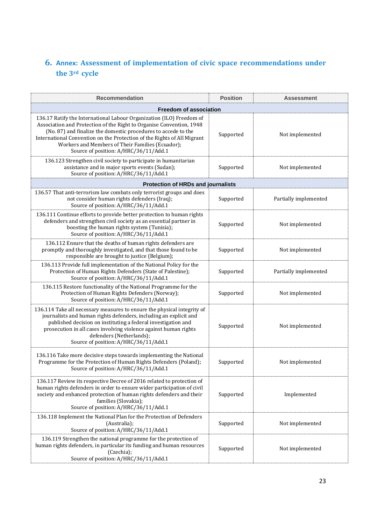# **6. Annex: Assessment of implementation of civic space recommendations under the 3rd cycle**

| <b>Recommendation</b>                                                                                                                                                                                                                                                                                                                                                                  | <b>Position</b> | <b>Assessment</b>     |  |
|----------------------------------------------------------------------------------------------------------------------------------------------------------------------------------------------------------------------------------------------------------------------------------------------------------------------------------------------------------------------------------------|-----------------|-----------------------|--|
| <b>Freedom of association</b>                                                                                                                                                                                                                                                                                                                                                          |                 |                       |  |
| 136.17 Ratify the International Labour Organization (ILO) Freedom of<br>Association and Protection of the Right to Organise Convention, 1948<br>(No. 87) and finalize the domestic procedures to accede to the<br>International Convention on the Protection of the Rights of All Migrant<br>Workers and Members of Their Families (Ecuador);<br>Source of position: A/HRC/36/11/Add.1 | Supported       | Not implemented       |  |
| 136.123 Strengthen civil society to participate in humanitarian<br>assistance and in major sports events (Sudan);<br>Source of position: A/HRC/36/11/Add.1                                                                                                                                                                                                                             | Supported       | Not implemented       |  |
| <b>Protection of HRDs and journalists</b>                                                                                                                                                                                                                                                                                                                                              |                 |                       |  |
| 136.57 That anti-terrorism law combats only terrorist groups and does<br>not consider human rights defenders (Iraq);<br>Source of position: A/HRC/36/11/Add.1                                                                                                                                                                                                                          | Supported       | Partially implemented |  |
| 136.111 Continue efforts to provide better protection to human rights<br>defenders and strengthen civil society as an essential partner in<br>boosting the human rights system (Tunisia);<br>Source of position: A/HRC/36/11/Add.1                                                                                                                                                     | Supported       | Not implemented       |  |
| 136.112 Ensure that the deaths of human rights defenders are<br>promptly and thoroughly investigated, and that those found to be<br>responsible are brought to justice (Belgium);                                                                                                                                                                                                      | Supported       | Not implemented       |  |
| 136.113 Provide full implementation of the National Policy for the<br>Protection of Human Rights Defenders (State of Palestine);<br>Source of position: A/HRC/36/11/Add.1                                                                                                                                                                                                              | Supported       | Partially implemented |  |
| 136.115 Restore functionality of the National Programme for the<br>Protection of Human Rights Defenders (Norway);<br>Source of position: A/HRC/36/11/Add.1                                                                                                                                                                                                                             | Supported       | Not implemented       |  |
| 136.114 Take all necessary measures to ensure the physical integrity of<br>journalists and human rights defenders, including an explicit and<br>published decision on instituting a federal investigation and<br>prosecution in all cases involving violence against human rights<br>defenders (Netherlands);<br>Source of position: A/HRC/36/11/Add.1                                 | Supported       | Not implemented       |  |
| 136.116 Take more decisive steps towards implementing the National<br>Programme for the Protection of Human Rights Defenders (Poland);<br>Source of position: A/HRC/36/11/Add.1                                                                                                                                                                                                        | Supported       | Not implemented       |  |
| 136.117 Review its respective Decree of 2016 related to protection of<br>human rights defenders in order to ensure wider participation of civil<br>society and enhanced protection of human rights defenders and their<br>families (Slovakia);<br>Source of position: A/HRC/36/11/Add.1                                                                                                | Supported       | Implemented           |  |
| 136.118 Implement the National Plan for the Protection of Defenders<br>(Australia);<br>Source of position: A/HRC/36/11/Add.1                                                                                                                                                                                                                                                           | Supported       | Not implemented       |  |
| 136.119 Strengthen the national programme for the protection of<br>human rights defenders, in particular its funding and human resources<br>(Czechia);<br>Source of position: A/HRC/36/11/Add.1                                                                                                                                                                                        | Supported       | Not implemented       |  |